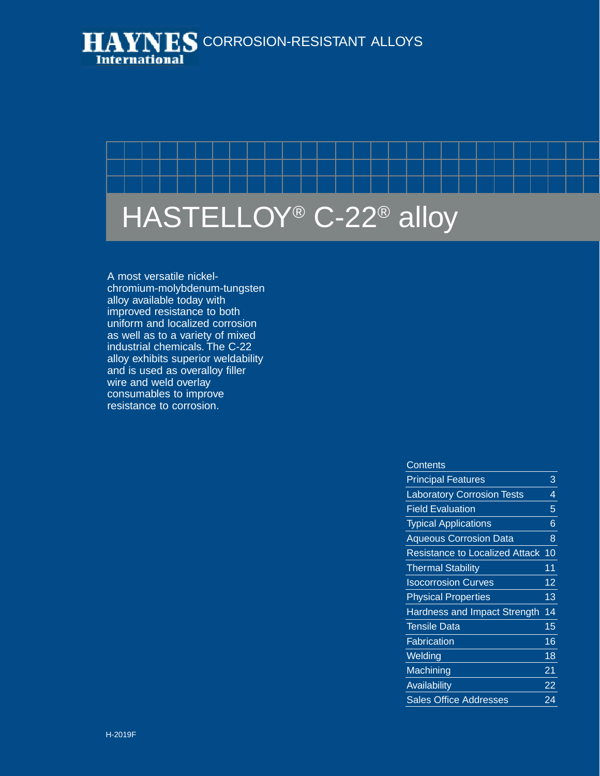



A most versatile nickelchromium-molybdenum-tungsten alloy available today with improved resistance to both uniform and localized corrosion as well as to a variety of mixed industrial chemicals. The C-22 alloy exhibits superior weldability and is used as overalloy filler wire and weld overlay consumables to improve resistance to corrosion.

#### **Contents**

| <b>Principal Features</b>             | 3  |
|---------------------------------------|----|
| <b>Laboratory Corrosion Tests</b>     | 4  |
| <b>Field Evaluation</b>               | 5  |
| <b>Typical Applications</b>           | 6  |
| <b>Aqueous Corrosion Data</b>         | 8  |
| <b>Resistance to Localized Attack</b> | 10 |
| <b>Thermal Stability</b>              | 11 |
| <b>Isocorrosion Curves</b>            | 12 |
| <b>Physical Properties</b>            | 13 |
| Hardness and Impact Strength          | 14 |
| <b>Tensile Data</b>                   | 15 |
| Fabrication                           | 16 |
| Welding                               | 18 |
| Machining                             | 21 |
| Availability                          | 22 |
| <b>Sales Office Addresses</b>         | 24 |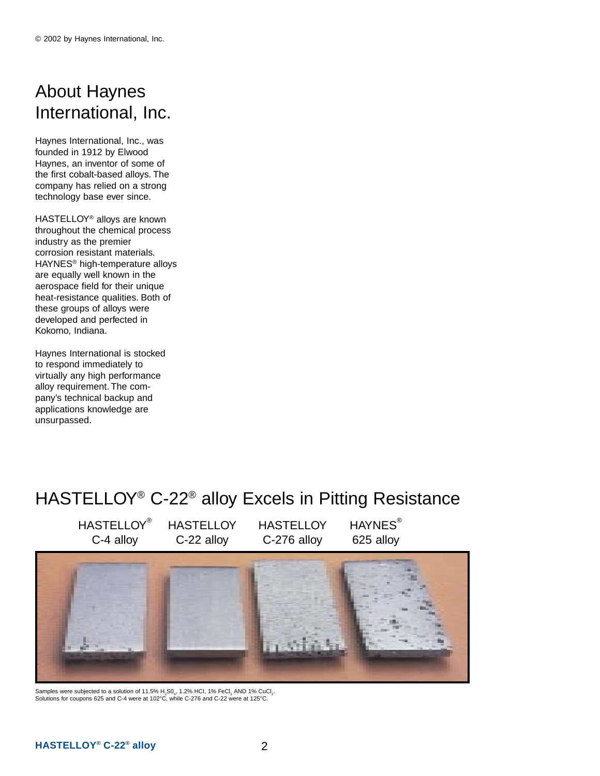# About Haynes International, Inc.

Haynes International, Inc., was founded in 1912 by Elwood Haynes, an inventor of some of the first cobalt-based alloys. The company has relied on a strong technology base ever since.

HASTELLOY® alloys are known throughout the chemical process industry as the premier corrosion resistant materials. HAYNES® high-temperature alloys are equally well known in the aerospace field for their unique heat-resistance qualities. Both of these groups of alloys were developed and perfected in Kokomo, Indiana.

Haynes International is stocked to respond immediately to virtually any high performance alloy requirement. The company's technical backup and applications knowledge are unsurpassed.

# HASTELLOY® C-22® alloy Excels in Pitting Resistance

HASTELLOY® C-4 alloy

**HASTELLOY** C-22 alloy

**HASTELLOY** C-276 alloy HAYNES<sup>®</sup> 625 alloy



Samples were subjected to a solution of 11.5% H<sub>2</sub>S0<sub>4</sub>, 1.2% HCI, 1% FeCl<sub>3</sub> AND 1% CuCl<sub>2</sub>.<br>Solutions for coupons 625 and C-4 were at 102°C, while C-276 and C-22 were at 125°C.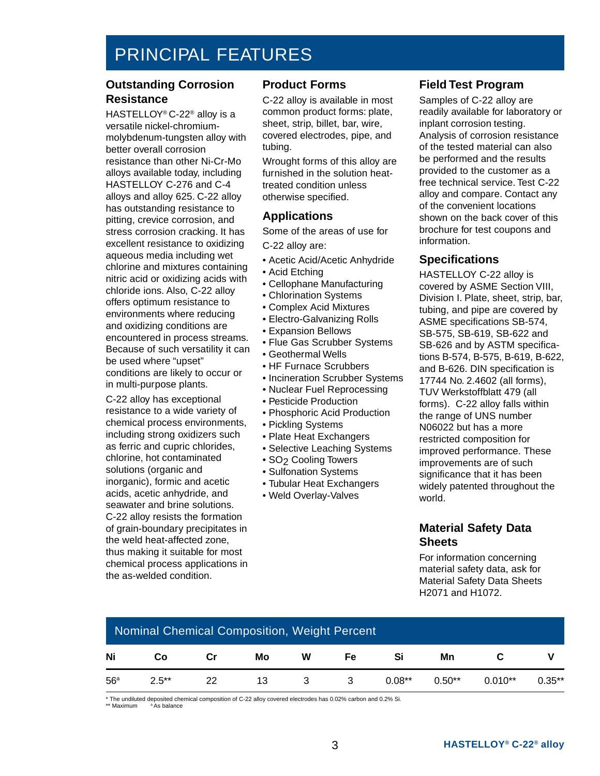# PRINCIPAL FEATURES

#### **Outstanding Corrosion Resistance**

HASTELLOY® C-22® alloy is a versatile nickel-chromiummolybdenum-tungsten alloy with better overall corrosion resistance than other Ni-Cr-Mo alloys available today, including HASTELLOY C-276 and C-4 alloys and alloy 625. C-22 alloy has outstanding resistance to pitting, crevice corrosion, and stress corrosion cracking. It has excellent resistance to oxidizing aqueous media including wet chlorine and mixtures containing nitric acid or oxidizing acids with chloride ions. Also, C-22 alloy offers optimum resistance to environments where reducing and oxidizing conditions are encountered in process streams. Because of such versatility it can be used where "upset" conditions are likely to occur or in multi-purpose plants.

C-22 alloy has exceptional resistance to a wide variety of chemical process environments, including strong oxidizers such as ferric and cupric chlorides, chlorine, hot contaminated solutions (organic and inorganic), formic and acetic acids, acetic anhydride, and seawater and brine solutions. C-22 alloy resists the formation of grain-boundary precipitates in the weld heat-affected zone, thus making it suitable for most chemical process applications in the as-welded condition.

#### **Product Forms**

C-22 alloy is available in most common product forms: plate, sheet, strip, billet, bar, wire, covered electrodes, pipe, and tubing.

Wrought forms of this alloy are furnished in the solution heattreated condition unless otherwise specified.

#### **Applications**

Some of the areas of use for C-22 alloy are:

- Acetic Acid/Acetic Anhydride
- 
- Acid Etching
- Cellophane Manufacturing
- Chlorination Systems
- Complex Acid Mixtures
- Electro-Galvanizing Rolls
- Expansion Bellows
- Flue Gas Scrubber Systems
- Geothermal Wells
- HF Furnace Scrubbers
- Incineration Scrubber Systems
- Nuclear Fuel Reprocessing
- Pesticide Production
- Phosphoric Acid Production
- Pickling Systems
- Plate Heat Exchangers
- Selective Leaching Systems
- SO<sub>2</sub> Cooling Towers
- Sulfonation Systems
- Tubular Heat Exchangers
- Weld Overlay-Valves

#### **Field Test Program**

Samples of C-22 alloy are readily available for laboratory or inplant corrosion testing. Analysis of corrosion resistance of the tested material can also be performed and the results provided to the customer as a free technical service. Test C-22 alloy and compare. Contact any of the convenient locations shown on the back cover of this brochure for test coupons and information.

#### **Specifications**

HASTELLOY C-22 alloy is covered by ASME Section VIII, Division I. Plate, sheet, strip, bar, tubing, and pipe are covered by ASME specifications SB-574, SB-575, SB-619, SB-622 and SB-626 and by ASTM specifications B-574, B-575, B-619, B-622, and B-626. DIN specification is 17744 No. 2.4602 (all forms), TUV Werkstoffblatt 479 (all forms). C-22 alloy falls within the range of UNS number N06022 but has a more restricted composition for improved performance. These improvements are of such significance that it has been widely patented throughout the world.

#### **Material Safety Data Sheets**

For information concerning material safety data, ask for Material Safety Data Sheets H2071 and H1072.

|     | Nominal Chemical Composition, Weight Percent |    |    |          |                         |           |           |           |           |
|-----|----------------------------------------------|----|----|----------|-------------------------|-----------|-----------|-----------|-----------|
| Ni  | Co                                           | Cr | Mo | W        | Fe.                     | Si        | Mn        |           |           |
| 56a | $2.5***$                                     | 22 | 13 | $\sim$ 3 | $\overline{\mathbf{3}}$ | $0.08***$ | $0.50***$ | $0.010**$ | $0.35***$ |

\* The undiluted deposited chemical composition of C-22 alloy covered electrodes has 0.02% carbon and 0.2% Si.<br>\*\* Maximum <sup>a</sup> As balance

\* As balance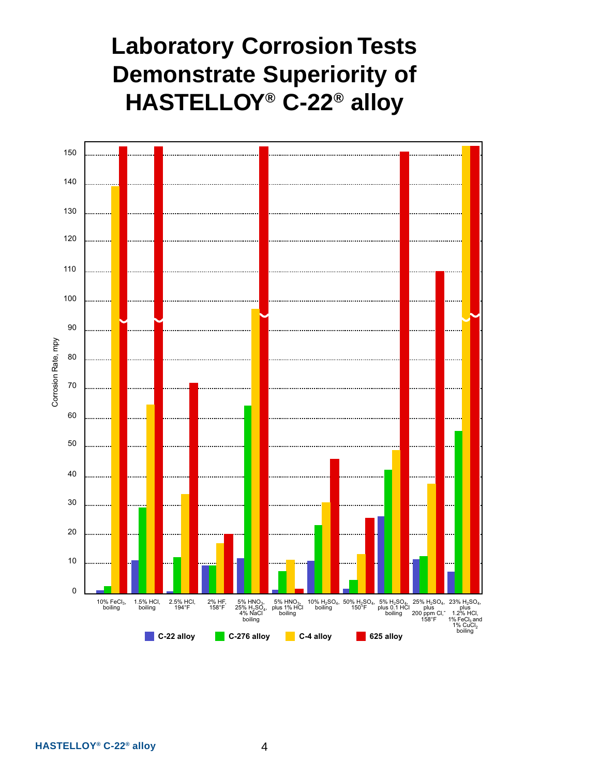# **Laboratory Corrosion Tests Demonstrate Superiority of HASTELLOY® C-22® alloy**

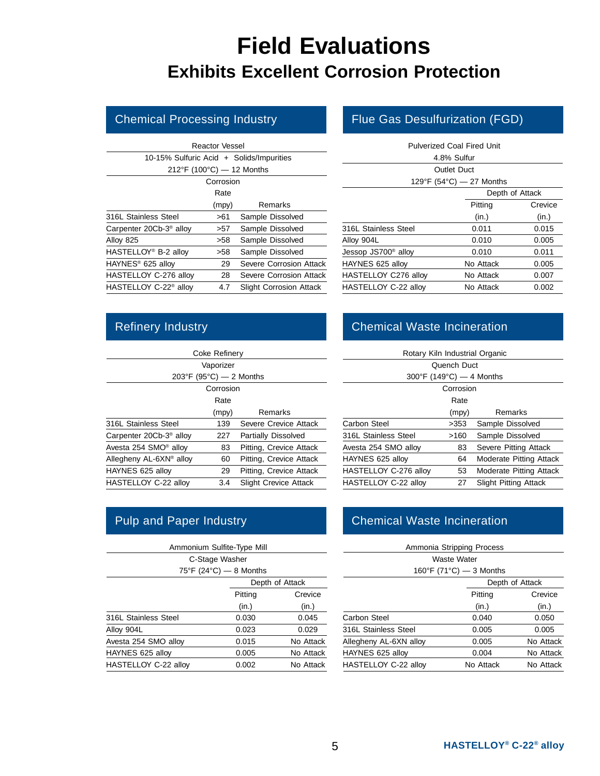# **Field Evaluations Exhibits Excellent Corrosion Protection**

|                                           | <b>Reactor Vessel</b> |                                |
|-------------------------------------------|-----------------------|--------------------------------|
| 10-15% Sulfuric Acid + Solids/Impurities  |                       |                                |
| $212^{\circ}F (100^{\circ}C) - 12$ Months |                       |                                |
|                                           | Corrosion             |                                |
|                                           | Rate                  |                                |
|                                           | (mpy)                 | Remarks                        |
| 316L Stainless Steel                      | >61                   | Sample Dissolved               |
| Carpenter 20Cb-3 <sup>®</sup> alloy       | >57                   | Sample Dissolved               |
| Alloy 825                                 | >58                   | Sample Dissolved               |
| HASTELLOY <sup>®</sup> B-2 alloy          | >58                   | Sample Dissolved               |
| HAYNES <sup>®</sup> 625 alloy             | 29                    | Severe Corrosion Attack        |
| HASTELLOY C-276 alloy                     | 28                    | Severe Corrosion Attack        |
| HASTELLOY C-22 <sup>®</sup> alloy         | 4.7                   | <b>Slight Corrosion Attack</b> |
|                                           |                       |                                |

#### Chemical Processing Industry Flue Gas Desulfurization (FGD)

|                                 | Pulverized Coal Fired Unit<br>4.8% Sulfur |         |
|---------------------------------|-------------------------------------------|---------|
|                                 | Outlet Duct                               |         |
|                                 | 129°F (54°C) - 27 Months                  |         |
|                                 | Depth of Attack                           |         |
|                                 | Pitting                                   | Crevice |
|                                 | (in.)                                     | (in.)   |
| 316L Stainless Steel            | 0.011                                     | 0.015   |
| Alloy 904L                      | 0.010                                     | 0.005   |
| Jessop JS700 <sup>®</sup> alloy | 0.010                                     | 0.011   |
| HAYNES 625 alloy                | No Attack                                 | 0.005   |
| HASTELLOY C276 alloy            | No Attack                                 | 0.007   |
| HASTELLOY C-22 alloy            | No Attack                                 | 0.002   |

|                                     | Coke Refinery |                              |
|-------------------------------------|---------------|------------------------------|
|                                     | Vaporizer     |                              |
| 203°F (95°C) $-$ 2 Months           |               |                              |
|                                     | Corrosion     |                              |
|                                     | Rate          |                              |
|                                     | (mpy)         | Remarks                      |
| 316L Stainless Steel                | 139           | Severe Crevice Attack        |
| Carpenter 20Cb-3 <sup>®</sup> alloy | 227           | Partially Dissolved          |
| Avesta 254 SMO® alloy               | 83            | Pitting, Crevice Attack      |
| Allegheny AL-6XN® alloy             | 60            | Pitting, Crevice Attack      |
| HAYNES 625 alloy                    | 29            | Pitting, Crevice Attack      |
| HASTELLOY C-22 alloy                | 3.4           | <b>Slight Crevice Attack</b> |

|                      | Ammonium Sulfite-Type Mill |                 |
|----------------------|----------------------------|-----------------|
|                      | C-Stage Washer             |                 |
|                      | 75°F (24°C) $-$ 8 Months   |                 |
|                      |                            | Depth of Attack |
|                      | Pitting                    | Crevice         |
|                      | (in.)                      | (in.)           |
| 316L Stainless Steel | 0.030                      | 0.045           |
| Alloy 904L           | 0.023                      | 0.029           |
| Avesta 254 SMO alloy | 0.015                      | No Attack       |
| HAYNES 625 alloy     | 0.005                      | No Attack       |
| HASTELLOY C-22 alloy | 0.002                      | No Attack       |

## Refinery Industry **Chemical Waste Incineration**

| Rotary Kiln Industrial Organic |             |                              |
|--------------------------------|-------------|------------------------------|
|                                | Quench Duct |                              |
| 300°F (149°C) $-$ 4 Months     |             |                              |
|                                | Corrosion   |                              |
|                                | Rate        |                              |
|                                | (mpy)       | Remarks                      |
| Carbon Steel                   | >353        | Sample Dissolved             |
| 316L Stainless Steel           | >160        | Sample Dissolved             |
| Avesta 254 SMO alloy           | 83          | Severe Pitting Attack        |
| HAYNES 625 alloy               | 64          | Moderate Pitting Attack      |
| HASTELLOY C-276 alloy          | 53          | Moderate Pitting Attack      |
| HASTELLOY C-22 alloy           | 27          | <b>Slight Pitting Attack</b> |

#### Pulp and Paper Industry **Chemical Waste Incineration**

|                        | Ammonia Stripping Process |           |
|------------------------|---------------------------|-----------|
|                        | Waste Water               |           |
|                        | 160°F (71°C) $-$ 3 Months |           |
|                        | Depth of Attack           |           |
|                        | Pitting                   | Crevice   |
|                        | (in.)                     | (in.)     |
| Carbon Steel           | 0.040                     | 0.050     |
| 316L Stainless Steel   | 0.005                     | 0.005     |
| Allegheny AL-6XN alloy | 0.005                     | No Attack |
| HAYNES 625 alloy       | 0.004                     | No Attack |
| HASTELLOY C-22 alloy   | No Attack                 | No Attack |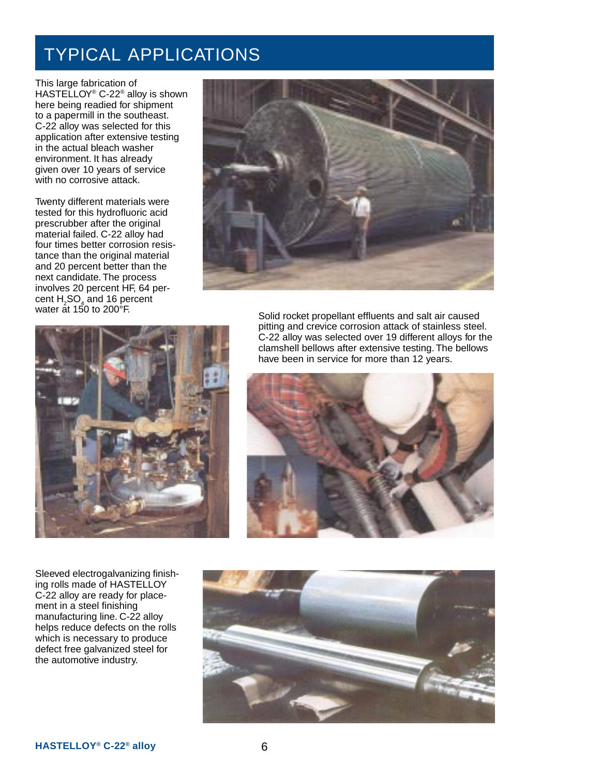# TYPICAL APPLICATIONS

This large fabrication of HASTELLOY® C-22® alloy is shown here being readied for shipment to a papermill in the southeast. C-22 alloy was selected for this application after extensive testing in the actual bleach washer environment. It has already given over 10 years of service with no corrosive attack.

Twenty different materials were tested for this hydrofluoric acid prescrubber after the original material failed. C-22 alloy had four times better corrosion resistance than the original material and 20 percent better than the next candidate. The process involves 20 percent HF, 64 percent  $H_2$ SO<sub>4</sub> and 16 percent





Sleeved electrogalvanizing finishing rolls made of HASTELLOY C-22 alloy are ready for placement in a steel finishing manufacturing line. C-22 alloy helps reduce defects on the rolls which is necessary to produce defect free galvanized steel for the automotive industry.

water at 150 to 200°F.<br>Solid rocket propellant effluents and salt air caused pitting and crevice corrosion attack of stainless steel. C-22 alloy was selected over 19 different alloys for the clamshell bellows after extensive testing. The bellows have been in service for more than 12 years.



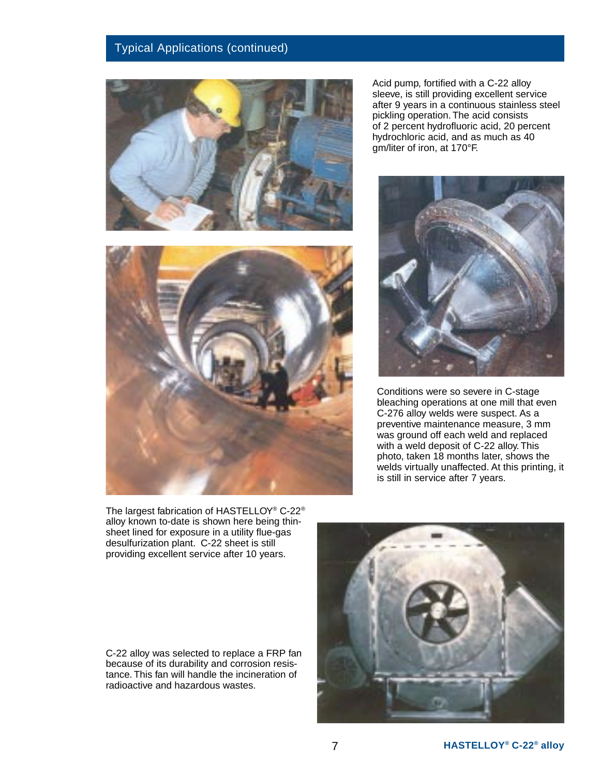#### Typical Applications (continued)



Acid pump, fortified with a C-22 alloy sleeve, is still providing excellent service after 9 years in a continuous stainless steel pickling operation. The acid consists of 2 percent hydrofluoric acid, 20 percent hydrochloric acid, and as much as 40 gm/liter of iron, at 170°F.



Conditions were so severe in C-stage bleaching operations at one mill that even C-276 alloy welds were suspect. As a preventive maintenance measure, 3 mm was ground off each weld and replaced with a weld deposit of C-22 alloy. This photo, taken 18 months later, shows the welds virtually unaffected. At this printing, it is still in service after 7 years.



The largest fabrication of HASTELLOY® C-22® alloy known to-date is shown here being thinsheet lined for exposure in a utility flue-gas desulfurization plant. C-22 sheet is still providing excellent service after 10 years.

C-22 alloy was selected to replace a FRP fan because of its durability and corrosion resistance. This fan will handle the incineration of radioactive and hazardous wastes.

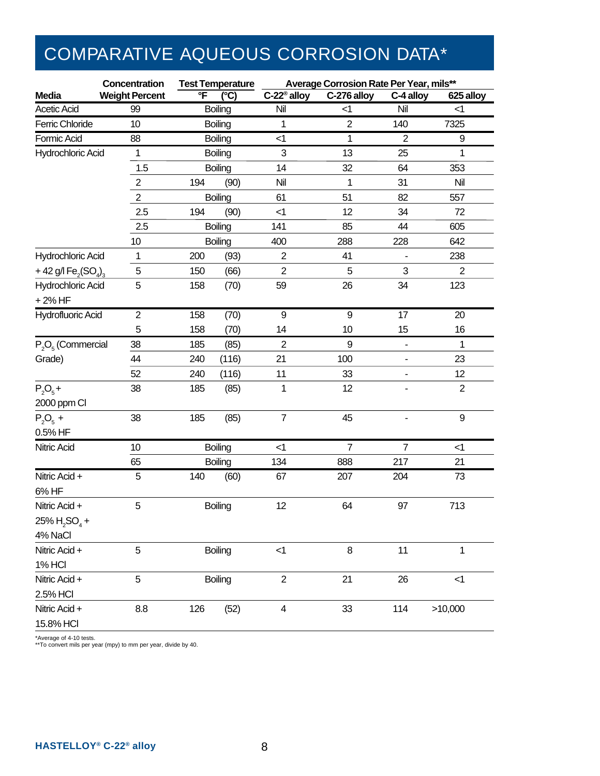# COMPARATIVE AQUEOUS CORROSION DATA\*

|                                                          | Concentration         |     | <b>Test Temperature</b> |                         | Average Corrosion Rate Per Year, mils** |                          |                  |
|----------------------------------------------------------|-----------------------|-----|-------------------------|-------------------------|-----------------------------------------|--------------------------|------------------|
| <b>Media</b>                                             | <b>Weight Percent</b> | ℃F  | $\overline{\mathbf{C}}$ | C-22 <sup>®</sup> alloy | C-276 alloy                             | C-4 alloy                | 625 alloy        |
| <b>Acetic Acid</b>                                       | 99                    |     | Boiling                 | Nil                     | $<$ 1                                   | Nil                      | $<$ 1            |
| Ferric Chloride                                          | 10                    |     | Boiling                 | 1                       | $\overline{2}$                          | 140                      | 7325             |
| Formic Acid                                              | 88                    |     | <b>Boiling</b>          | $<$ 1                   | 1                                       | $\overline{2}$           | 9                |
| Hydrochloric Acid                                        | 1                     |     | <b>Boiling</b>          | 3                       | 13                                      | 25                       | 1                |
|                                                          | 1.5                   |     | <b>Boiling</b>          | 14                      | 32                                      | 64                       | 353              |
|                                                          | $\overline{2}$        | 194 | (90)                    | Nil                     | 1                                       | 31                       | Nil              |
|                                                          | $\overline{2}$        |     | <b>Boiling</b>          | 61                      | 51                                      | 82                       | 557              |
|                                                          | 2.5                   | 194 | (90)                    | $\leq$ 1                | 12                                      | 34                       | 72               |
|                                                          | 2.5                   |     | <b>Boiling</b>          | 141                     | 85                                      | 44                       | 605              |
|                                                          | 10                    |     | Boiling                 | 400                     | 288                                     | 228                      | 642              |
| Hydrochloric Acid                                        | 1                     | 200 | (93)                    | $\overline{\mathbf{c}}$ | 41                                      |                          | 238              |
| + 42 g/l Fe <sub>2</sub> (SO <sub>4</sub> ) <sub>3</sub> | 5                     | 150 | (66)                    | $\overline{2}$          | 5                                       | 3                        | $\overline{2}$   |
| Hydrochloric Acid                                        | 5                     | 158 | (70)                    | 59                      | 26                                      | 34                       | 123              |
| +2% HF                                                   |                       |     |                         |                         |                                         |                          |                  |
| <b>Hydrofluoric Acid</b>                                 | $\mathbf{2}$          | 158 | (70)                    | $\boldsymbol{9}$        | $\boldsymbol{9}$                        | 17                       | 20               |
|                                                          | 5                     | 158 | (70)                    | 14                      | 10                                      | 15                       | 16               |
| $P_2O_5$ (Commercial                                     | 38                    | 185 | (85)                    | $\overline{\mathbf{c}}$ | 9                                       | $\overline{\phantom{a}}$ | 1                |
| Grade)                                                   | 44                    | 240 | (116)                   | 21                      | 100                                     | $\overline{\phantom{a}}$ | 23               |
|                                                          | 52                    | 240 | (116)                   | 11                      | 33                                      | $\blacksquare$           | 12               |
| $P_2O_5 +$                                               | 38                    | 185 | (85)                    | 1                       | 12                                      |                          | $\overline{2}$   |
| 2000 ppm Cl                                              |                       |     |                         |                         |                                         |                          |                  |
| $P_2O_5 +$                                               | 38                    | 185 | (85)                    | $\overline{7}$          | 45                                      |                          | $\boldsymbol{9}$ |
| 0.5% HF                                                  |                       |     |                         |                         |                                         |                          |                  |
| <b>Nitric Acid</b>                                       | 10                    |     | <b>Boiling</b>          | $<$ 1                   | $\overline{7}$                          | $\overline{7}$           | $<$ 1            |
|                                                          | 65                    |     | <b>Boiling</b>          | 134                     | 888                                     | 217                      | 21               |
| Nitric Acid +                                            | 5                     | 140 | (60)                    | 67                      | 207                                     | 204                      | 73               |
| 6% HF                                                    |                       |     |                         |                         |                                         |                          |                  |
| Nitric Acid +                                            | 5                     |     | <b>Boiling</b>          | 12                      | 64                                      | 97                       | 713              |
| $25\%$ H <sub>2</sub> SO <sub>4</sub> +                  |                       |     |                         |                         |                                         |                          |                  |
| 4% NaCl                                                  |                       |     |                         |                         |                                         |                          |                  |
| Nitric Acid +                                            | 5                     |     | Boiling                 | $<$ 1                   | 8                                       | 11                       | 1                |
| 1% HCI                                                   |                       |     |                         |                         |                                         |                          |                  |
| Nitric Acid +                                            | 5                     |     | Boiling                 | $\overline{2}$          | 21                                      | 26                       | <1               |
| 2.5% HCI                                                 |                       |     |                         |                         |                                         |                          |                  |
| Nitric Acid +                                            | 8.8                   | 126 | (52)                    | 4                       | 33                                      | 114                      | >10,000          |
| 15.8% HCI                                                |                       |     |                         |                         |                                         |                          |                  |

\*Average of 4-10 tests. \*\*To convert mils per year (mpy) to mm per year, divide by 40.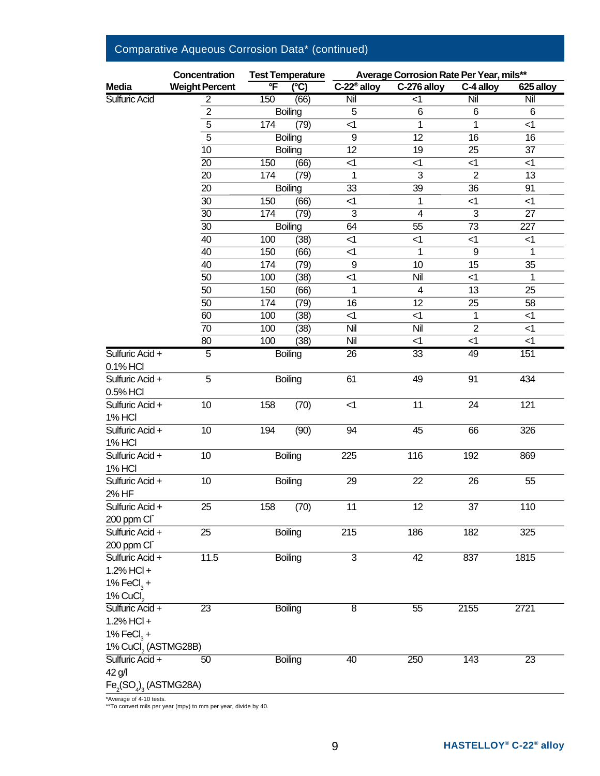|                                             | <b>Concentration</b>  |                         | <b>Test Temperature</b>  |                         | Average Corrosion Rate Per Year, mils** |                 |                         |
|---------------------------------------------|-----------------------|-------------------------|--------------------------|-------------------------|-----------------------------------------|-----------------|-------------------------|
| <b>Media</b>                                | <b>Weight Percent</b> | $\overline{\mathsf{F}}$ | $\overline{(\degree C)}$ | C-22 <sup>®</sup> alloy | C-276 alloy                             | C-4 alloy       | 625 alloy               |
| Sulfuric Acid                               | $\overline{2}$        | 150                     | (66)                     | Nil                     | $\overline{<}$ 1                        | Nil             | $\overline{\text{Nil}}$ |
|                                             | $\overline{2}$        |                         | Boiling                  | 5                       | $\,6$                                   | 6               | 6                       |
|                                             | $\overline{5}$        | 174                     | (79)                     | $\leq$ 1                | $\overline{1}$                          | 1               | $\leq$ 1                |
|                                             | $\overline{5}$        |                         | <b>Boiling</b>           | $\overline{9}$          | $\overline{12}$                         | $\overline{16}$ | $\overline{16}$         |
|                                             | 10                    |                         | Boiling                  | 12                      | 19                                      | 25              | 37                      |
|                                             | $\overline{20}$       | 150                     | (66)                     | $<$ 1                   | $\leq$ 1                                | $<$ 1           | $\leq$ 1                |
|                                             | 20                    | 174                     | (79)                     | $\mathbf{1}$            | 3                                       | $\overline{2}$  | 13                      |
|                                             | 20                    |                         | <b>Boiling</b>           | 33                      | $\overline{39}$                         | $\overline{36}$ | 91                      |
|                                             | 30                    | 150                     | (66)                     | $<$ 1                   | 1                                       | $<$ 1           | $<$ 1                   |
|                                             | 30                    | 174                     | (79)                     | $\overline{3}$          | $\overline{4}$                          | $\overline{3}$  | $\overline{27}$         |
|                                             | 30                    |                         | <b>Boiling</b>           | 64                      | 55                                      | 73              | 227                     |
|                                             | 40                    | 100                     | (38)                     | $\leq$ 1                | $\leq$ 1                                | $\leq$ 1        | $<$ 1                   |
|                                             | $\overline{40}$       | 150                     | (66)                     | $\overline{<}$ 1        | $\overline{1}$                          | $\overline{9}$  | 1                       |
|                                             | 40                    | 174                     | (79)                     | 9                       | 10                                      | 15              | 35                      |
|                                             | 50                    | 100                     | (38)                     | $\leq$ 1                | Nil                                     | $<$ 1           | $\mathbf{1}$            |
|                                             | 50                    | 150                     | (66)                     | 1                       | $\overline{4}$                          | 13              | 25                      |
|                                             | 50                    | 174                     | (79)                     | 16                      | 12                                      | 25              | 58                      |
|                                             | 60                    | 100                     | (38)                     | <1                      | $\leq$ 1                                | $\mathbf{1}$    | $\leq$ 1                |
|                                             | 70                    | 100                     | (38)                     | Nil                     | Nil                                     | $\overline{2}$  | $\leq$ 1                |
|                                             | 80                    | 100                     | (38)                     | Nil                     | $\leq$ 1                                | $\leq$ 1        | $\leq$ 1                |
| Sulfuric Acid +                             | $\overline{5}$        |                         | <b>Boiling</b>           | 26                      | 33                                      | 49              | 151                     |
| 0.1% HCI                                    |                       |                         |                          |                         |                                         |                 |                         |
| Sulfuric Acid +                             | 5                     |                         | <b>Boiling</b>           | 61                      | 49                                      | 91              | 434                     |
| 0.5% HCI                                    |                       |                         |                          |                         |                                         |                 |                         |
| Sulfuric Acid +                             | 10                    | 158                     | (70)                     | $\leq$ 1                | 11                                      | 24              | 121                     |
| <b>1% HCI</b><br>Sulfuric Acid +            | 10                    |                         |                          | 94                      | 45                                      |                 |                         |
|                                             |                       | 194                     | (90)                     |                         |                                         | 66              | 326                     |
| <b>1% HCI</b><br>Sulfuric Acid +            | 10                    |                         |                          | 225                     | 116                                     | 192             | 869                     |
| <b>1% HCI</b>                               |                       |                         | Boiling                  |                         |                                         |                 |                         |
| Sulfuric Acid +                             | 10                    |                         | <b>Boiling</b>           | 29                      | 22                                      | 26              | 55                      |
| 2% HF                                       |                       |                         |                          |                         |                                         |                 |                         |
| Sulfuric Acid +                             | 25                    | 158                     | (70)                     | 11                      | 12                                      | 37              | 110                     |
| 200 ppm CI <sup>-</sup>                     |                       |                         |                          |                         |                                         |                 |                         |
| Sulfuric Acid +                             | 25                    |                         | Boiling                  | 215                     | 186                                     | 182             | 325                     |
| 200 ppm CI                                  |                       |                         |                          |                         |                                         |                 |                         |
| Sulfuric Acid +                             | $11.5$                |                         | <b>Boiling</b>           | $\overline{3}$          | 42                                      | 837             | 1815                    |
| $1.2%$ HCl +                                |                       |                         |                          |                         |                                         |                 |                         |
| 1% FeCl <sub>3</sub> +                      |                       |                         |                          |                         |                                         |                 |                         |
| 1% CuCl <sub>2</sub>                        |                       |                         |                          |                         |                                         |                 |                         |
| Sulfuric Acid +                             | $\overline{23}$       |                         | Boiling                  | 8                       | 55                                      | 2155            | 2721                    |
| $1.2\%$ HCl +                               |                       |                         |                          |                         |                                         |                 |                         |
| 1% FeCl <sub>3</sub> +                      |                       |                         |                          |                         |                                         |                 |                         |
| 1% CuCl <sub>2</sub> (ASTMG28B)             |                       |                         |                          |                         |                                         |                 |                         |
| Sulfuric Acid +                             | 50                    |                         | <b>Boiling</b>           | 40                      | 250                                     | 143             | $\overline{23}$         |
| 42 g/l                                      |                       |                         |                          |                         |                                         |                 |                         |
| $\mathsf{Fe}_2(\mathsf{SO}_4)_3$ (ASTMG28A) |                       |                         |                          |                         |                                         |                 |                         |
|                                             |                       |                         |                          |                         |                                         |                 |                         |

## Comparative Aqueous Corrosion Data\* (continued)

\*Average of 4-10 tests. \*\*To convert mils per year (mpy) to mm per year, divide by 40.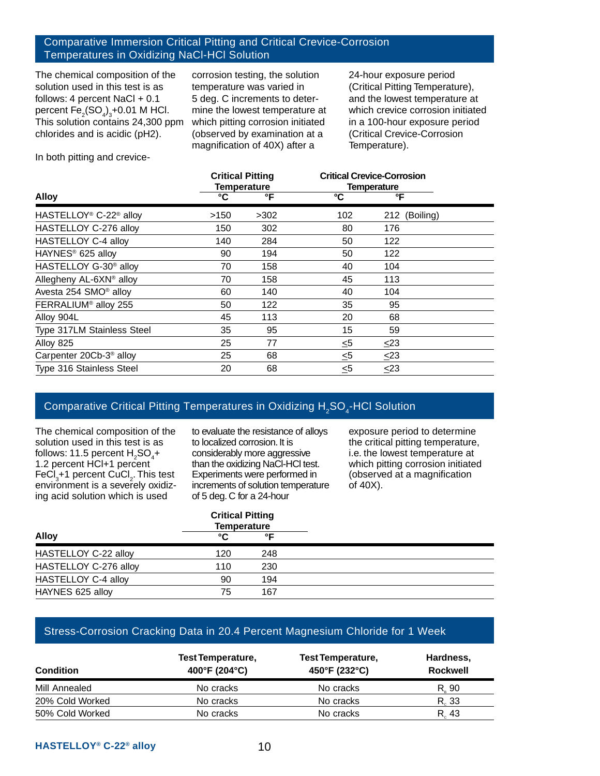#### Comparative Immersion Critical Pitting and Critical Crevice-Corrosion Temperatures in Oxidizing NaCl-HCl Solution

The chemical composition of the solution used in this test is as follows: 4 percent NaCl  $+$  0.1 percent  $\mathsf{Fe}_{\mathsf{2}}(\mathsf{SO}_{\mathsf{4}})_{\mathsf{3}}$ +0.01 M HCl. This solution contains 24,300 ppm chlorides and is acidic (pH2).

corrosion testing, the solution temperature was varied in 5 deg. C increments to determine the lowest temperature at which pitting corrosion initiated (observed by examination at a magnification of 40X) after a

24-hour exposure period (Critical Pitting Temperature), and the lowest temperature at which crevice corrosion initiated in a 100-hour exposure period (Critical Crevice-Corrosion Temperature).

In both pitting and crevice-

|                                                |      | <b>Critical Pitting</b><br><b>Temperature</b> | <b>Critical Crevice-Corrosion</b><br><b>Temperature</b> |               |  |
|------------------------------------------------|------|-----------------------------------------------|---------------------------------------------------------|---------------|--|
| <b>Alloy</b>                                   | °C   | °F                                            | ℃                                                       | °F            |  |
| HASTELLOY <sup>®</sup> C-22 <sup>®</sup> alloy | >150 | >302                                          | 102                                                     | 212 (Boiling) |  |
| HASTELLOY C-276 alloy                          | 150  | 302                                           | 80                                                      | 176           |  |
| HASTELLOY C-4 alloy                            | 140  | 284                                           | 50                                                      | 122           |  |
| HAYNES <sup>®</sup> 625 alloy                  | 90   | 194                                           | 50                                                      | 122           |  |
| HASTELLOY G-30 <sup>®</sup> alloy              | 70   | 158                                           | 40                                                      | 104           |  |
| Allegheny AL-6XN® alloy                        | 70   | 158                                           | 45                                                      | 113           |  |
| Avesta 254 SMO <sup>®</sup> alloy              | 60   | 140                                           | 40                                                      | 104           |  |
| FERRALIUM <sup>®</sup> alloy 255               | 50   | 122                                           | 35                                                      | 95            |  |
| Alloy 904L                                     | 45   | 113                                           | 20                                                      | 68            |  |
| Type 317LM Stainless Steel                     | 35   | 95                                            | 15                                                      | 59            |  |
| Alloy 825                                      | 25   | 77                                            | ≤5                                                      | $\leq$ 23     |  |
| Carpenter 20Cb-3 <sup>®</sup> alloy            | 25   | 68                                            | $\leq 5$                                                | $\leq$ 23     |  |
| Type 316 Stainless Steel                       | 20   | 68                                            | ≤5                                                      | ≤23           |  |

#### Comparative Critical Pitting Temperatures in Oxidizing H<sub>2</sub>SO<sub>4</sub>-HCl Solution

The chemical composition of the solution used in this test is as follows: 11.5 percent  $H_2SO_4$ + 1.2 percent HCl+1 percent FeCl<sub>3</sub>+1 percent CuCl<sub>2</sub>. This test environment is a severely oxidizing acid solution which is used

to evaluate the resistance of alloys to localized corrosion. It is considerably more aggressive than the oxidizing NaCl-HCl test. Experiments were performed in increments of solution temperature of 5 deg. C for a 24-hour

exposure period to determine the critical pitting temperature, i.e. the lowest temperature at which pitting corrosion initiated (observed at a magnification of 40X).

| <b>Critical Pitting</b><br><b>Temperature</b> |     |
|-----------------------------------------------|-----|
| °C                                            | ∘г  |
| 120                                           | 248 |
| 110                                           | 230 |
| 90                                            | 194 |
| 75                                            | 167 |
|                                               |     |

#### Stress-Corrosion Cracking Data in 20.4 Percent Magnesium Chloride for 1 Week

| <b>Condition</b> | Test Temperature,<br>400°F (204°C) | <b>Test Temperature,</b><br>450°F (232°C) | Hardness,<br><b>Rockwell</b> |  |
|------------------|------------------------------------|-------------------------------------------|------------------------------|--|
| Mill Annealed    | No cracks                          | No cracks                                 | R. 90                        |  |
| 20% Cold Worked  | No cracks                          | No cracks                                 | R. 33                        |  |
| 50% Cold Worked  | No cracks                          | No cracks                                 | R. 43                        |  |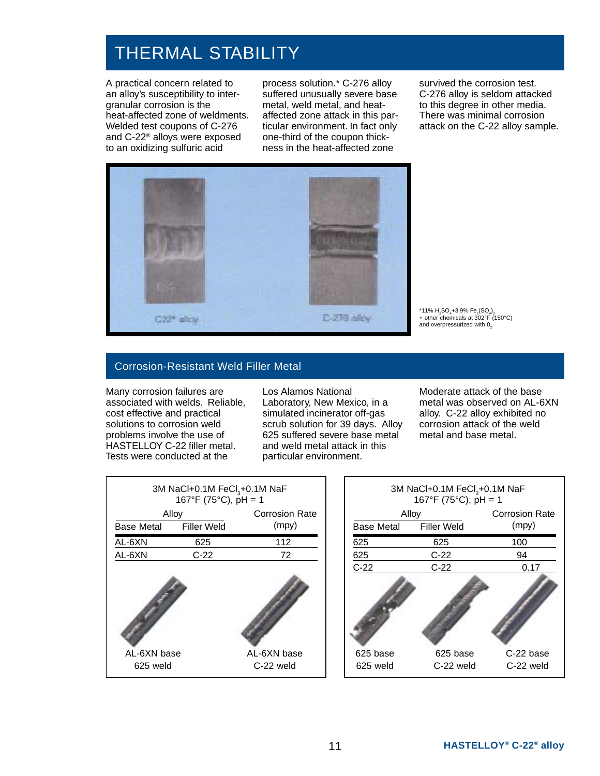# THERMAL STABILITY

A practical concern related to an alloy's susceptibility to intergranular corrosion is the heat-affected zone of weldments. Welded test coupons of C-276 and C-22® alloys were exposed to an oxidizing sulfuric acid

process solution.\* C-276 alloy suffered unusually severe base metal, weld metal, and heataffected zone attack in this particular environment. In fact only one-third of the coupon thickness in the heat-affected zone

survived the corrosion test. C-276 alloy is seldom attacked to this degree in other media. There was minimal corrosion attack on the C-22 alloy sample.



\*11% H<sub>2</sub>SO<sub>4</sub>+3.9% Fe<sub>2</sub>(SO<sub>4</sub>)<sub>3</sub><br>+ other chemicals at 302°F (150°C) and overpressurized with 02.

#### Corrosion-Resistant Weld Filler Metal

Many corrosion failures are associated with welds. Reliable, cost effective and practical solutions to corrosion weld problems involve the use of HASTELLOY C-22 filler metal. Tests were conducted at the

Los Alamos National Laboratory, New Mexico, in a simulated incinerator off-gas scrub solution for 39 days. Alloy 625 suffered severe base metal and weld metal attack in this particular environment.

Moderate attack of the base metal was observed on AL-6XN alloy. C-22 alloy exhibited no corrosion attack of the weld metal and base metal.



| 3M NaCl+0.1M FeCl <sub>3</sub> +0.1M NaF<br>167°F (75°C), $pH = 1$ |                       |           |  |  |
|--------------------------------------------------------------------|-----------------------|-----------|--|--|
| Alloy                                                              | <b>Corrosion Rate</b> |           |  |  |
| Base Metal                                                         | <b>Filler Weld</b>    | (mpy)     |  |  |
| 625                                                                | 625                   | 100       |  |  |
| 625                                                                | $C-22$                | 94        |  |  |
| $C-22$                                                             | $C-22$                | 0.17      |  |  |
|                                                                    |                       |           |  |  |
| 625 base                                                           | 625 base              | C-22 base |  |  |
| 625 weld                                                           | C-22 weld             | C-22 weld |  |  |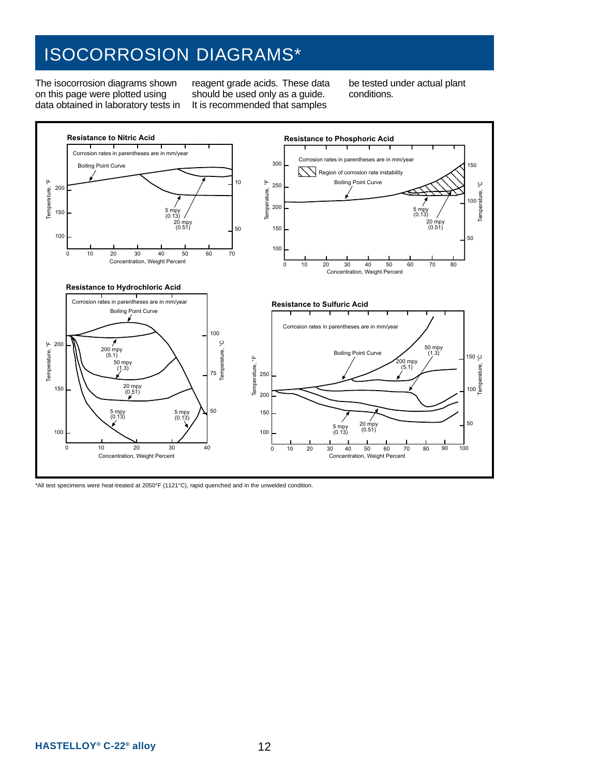# ISOCORROSION DIAGRAMS\*

The isocorrosion diagrams shown on this page were plotted using data obtained in laboratory tests in reagent grade acids. These data should be used only as a guide. It is recommended that samples

be tested under actual plant conditions.



\*All test specimens were heat-treated at 2050°F (1121°C), rapid quenched and in the unwelded condition.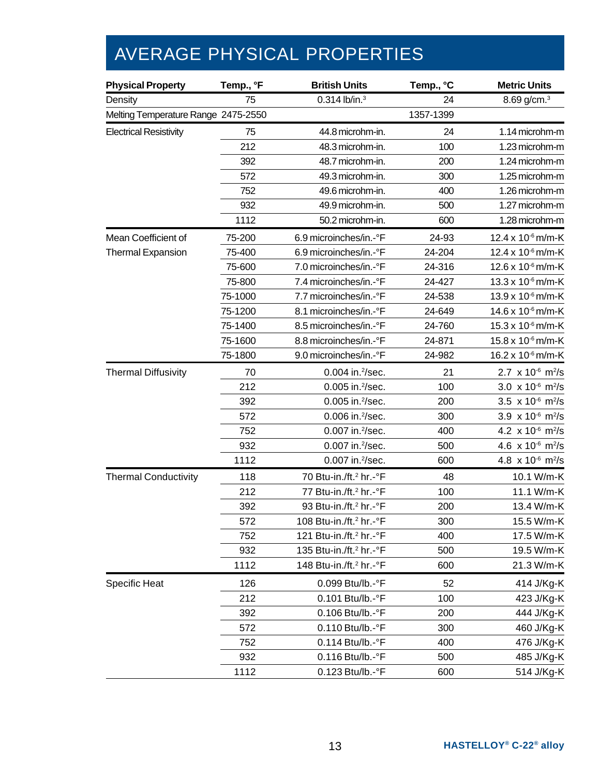# AVERAGE PHYSICAL PROPERTIES

| <b>Physical Property</b>            | Temp., °F<br><b>British Units</b><br>Temp., °C |                                     | <b>Metric Units</b> |                                                 |
|-------------------------------------|------------------------------------------------|-------------------------------------|---------------------|-------------------------------------------------|
| Density                             | 75                                             | $0.314$ lb/in. $3$                  | 24                  | 8.69 g/cm. <sup>3</sup>                         |
| Melting Temperature Range 2475-2550 |                                                |                                     | 1357-1399           |                                                 |
| <b>Electrical Resistivity</b>       | 75                                             | 44.8 microhm-in.                    | 24                  | 1.14 microhm-m                                  |
|                                     | 212                                            | 48.3 microhm-in.                    | 100                 | 1.23 microhm-m                                  |
|                                     | 392                                            | 48.7 microhm-in.                    | 200                 | 1.24 microhm-m                                  |
|                                     | 572                                            | 49.3 microhm-in.                    | 300                 | 1.25 microhm-m                                  |
|                                     | 752                                            | 49.6 microhm-in.                    | 400                 | 1.26 microhm-m                                  |
|                                     | 932                                            | 49.9 microhm-in.                    | 500                 | 1.27 microhm-m                                  |
|                                     | 1112                                           | 50.2 microhm-in.                    | 600                 | 1.28 microhm-m                                  |
| Mean Coefficient of                 | 75-200                                         | 6.9 microinches/in.-°F              | 24-93               | 12.4 x 10 <sup>-6</sup> m/m-K                   |
| <b>Thermal Expansion</b>            | 75-400                                         | 6.9 microinches/in.-°F              | 24-204              | 12.4 x 10 <sup>-6</sup> m/m-K                   |
|                                     | 75-600                                         | 7.0 microinches/in.-°F              | 24-316              | 12.6 x 10 <sup>-6</sup> m/m-K                   |
|                                     | 75-800                                         | 7.4 microinches/in.-°F              | 24-427              | 13.3 x 10 <sup>-6</sup> m/m-K                   |
|                                     | 75-1000                                        | 7.7 microinches/in.-°F              | 24-538              | 13.9 x 10 <sup>-6</sup> m/m-K                   |
|                                     | 75-1200                                        | 8.1 microinches/in.-°F              | 24-649              | 14.6 x 10 <sup>-6</sup> m/m-K                   |
|                                     | 75-1400                                        | 8.5 microinches/in.-°F              | 24-760              | 15.3 x 10 <sup>-6</sup> m/m-K                   |
|                                     | 75-1600                                        | 8.8 microinches/in.-°F              | 24-871              | 15.8 x 10 <sup>-6</sup> m/m-K                   |
|                                     | 75-1800                                        | 9.0 microinches/in.-°F              | 24-982              | 16.2 x 10 <sup>-6</sup> m/m-K                   |
| <b>Thermal Diffusivity</b>          | 70                                             | 0.004 in. <sup>2</sup> /sec.        | 21                  | 2.7 $\times$ 10 <sup>-6</sup> m <sup>2</sup> /s |
|                                     | 212                                            | 0.005 in. <sup>2</sup> /sec.        | 100                 | 3.0 $\times$ 10 <sup>-6</sup> m <sup>2</sup> /s |
|                                     | 392                                            | 0.005 in. <sup>2</sup> /sec.        | 200                 | 3.5 $\times$ 10 <sup>-6</sup> m <sup>2</sup> /s |
|                                     | 572                                            | 0.006 in. <sup>2</sup> /sec.        | 300                 | 3.9 $\times$ 10 <sup>-6</sup> m <sup>2</sup> /s |
|                                     | 752                                            | 0.007 in. <sup>2</sup> /sec.        | 400                 | 4.2 $\times$ 10 <sup>-6</sup> m <sup>2</sup> /s |
|                                     | 932                                            | 0.007 in. <sup>2</sup> /sec.        | 500                 | 4.6 $\times$ 10 <sup>-6</sup> m <sup>2</sup> /s |
|                                     | 1112                                           | 0.007 in. <sup>2</sup> /sec.        | 600                 | 4.8 $\times$ 10 <sup>-6</sup> m <sup>2</sup> /s |
| <b>Thermal Conductivity</b>         | 118                                            | 70 Btu-in./ft. <sup>2</sup> hr.-°F  | 48                  | 10.1 W/m-K                                      |
|                                     | 212                                            | 77 Btu-in./ft. <sup>2</sup> hr.-°F  | 100                 | 11.1 W/m-K                                      |
|                                     | 392                                            | 93 Btu-in./ft. <sup>2</sup> hr.-°F  | 200                 | 13.4 W/m-K                                      |
|                                     | 572                                            | 108 Btu-in./ft. <sup>2</sup> hr.-°F | 300                 | 15.5 W/m-K                                      |
|                                     | 752                                            | 121 Btu-in./ft. <sup>2</sup> hr.-°F | 400                 | 17.5 W/m-K                                      |
|                                     | 932                                            | 135 Btu-in./ft. <sup>2</sup> hr.-°F | 500                 | 19.5 W/m-K                                      |
|                                     | 1112                                           | 148 Btu-in./ft. <sup>2</sup> hr.-°F | 600                 | 21.3 W/m-K                                      |
| Specific Heat                       | 126                                            | 0.099 Btu/lb.-°F                    | 52                  | 414 J/Kg-K                                      |
|                                     | 212                                            | 0.101 Btu/lb.-°F                    | 100                 | 423 J/Kg-K                                      |
|                                     | 392                                            | 0.106 Btu/lb.-°F                    | 200                 | 444 J/Kg-K                                      |
|                                     | 572                                            | 0.110 Btu/lb.-°F                    | 300                 | 460 J/Kg-K                                      |
|                                     | 752                                            | 0.114 Btu/lb.-°F                    | 400                 | 476 J/Kg-K                                      |
|                                     | 932                                            | 0.116 Btu/lb.-°F                    | 500                 | 485 J/Kg-K                                      |
|                                     | 1112                                           | 0.123 Btu/lb.-°F                    | 600                 | 514 J/Kg-K                                      |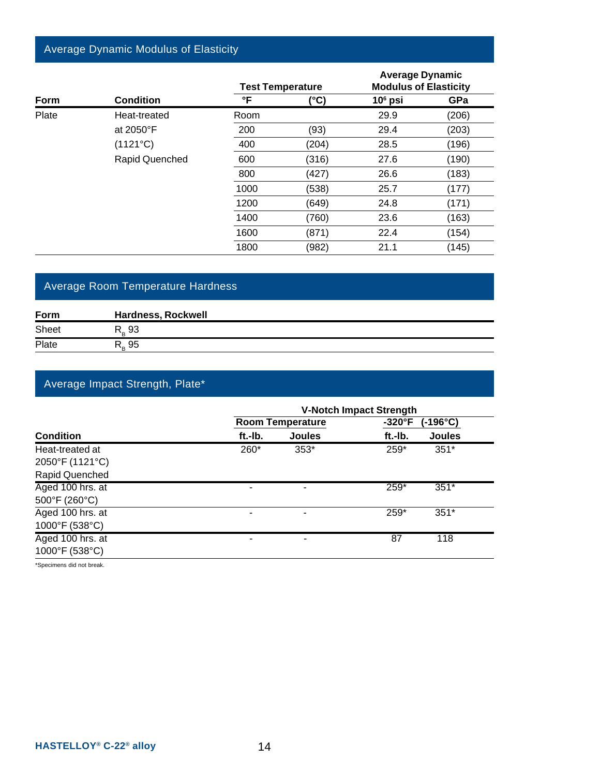#### Average Dynamic Modulus of Elasticity

|             |                  | <b>Test Temperature</b> |       | <b>Average Dynamic</b><br><b>Modulus of Elasticity</b> |       |
|-------------|------------------|-------------------------|-------|--------------------------------------------------------|-------|
| <b>Form</b> | <b>Condition</b> | °F                      | (°C)  | $106$ psi                                              | GPa   |
| Plate       | Heat-treated     | Room                    |       | 29.9                                                   | (206) |
|             | at 2050°F        | 200                     | (93)  | 29.4                                                   | (203) |
|             | (1121°C)         | 400                     | (204) | 28.5                                                   | (196) |
|             | Rapid Quenched   | 600                     | (316) | 27.6                                                   | (190) |
|             |                  | 800                     | (427) | 26.6                                                   | (183) |
|             |                  | 1000                    | (538) | 25.7                                                   | (177) |
|             |                  | 1200                    | (649) | 24.8                                                   | (171) |
|             |                  | 1400                    | (760) | 23.6                                                   | (163) |
|             |                  | 1600                    | (871) | 22.4                                                   | (154) |
|             |                  | 1800                    | (982) | 21.1                                                   | (145) |

#### Average Room Temperature Hardness

| Form  | <b>Hardness, Rockwell</b> |
|-------|---------------------------|
| Sheet | R., 93                    |
| Plate | २, ९५                     |

#### Average Impact Strength, Plate\*

|                  | <b>V-Notch Impact Strength</b> |                         |                |               |  |  |
|------------------|--------------------------------|-------------------------|----------------|---------------|--|--|
|                  |                                | <b>Room Temperature</b> | $-320^\circ F$ | (-196°C)      |  |  |
| <b>Condition</b> | ft.-Ib.                        | <b>Joules</b>           | ft.-Ib.        | <b>Joules</b> |  |  |
| Heat-treated at  | 260*                           | $353*$                  | 259*           | $351*$        |  |  |
| 2050°F (1121°C)  |                                |                         |                |               |  |  |
| Rapid Quenched   |                                |                         |                |               |  |  |
| Aged 100 hrs. at |                                |                         | $259*$         | $351*$        |  |  |
| 500°F (260°C)    |                                |                         |                |               |  |  |
| Aged 100 hrs. at |                                |                         | 259*           | $351*$        |  |  |
| 1000°F (538°C)   |                                |                         |                |               |  |  |
| Aged 100 hrs. at |                                |                         | 87             | 118           |  |  |
| 1000°F (538°C)   |                                |                         |                |               |  |  |
|                  |                                |                         |                |               |  |  |

\*Specimens did not break.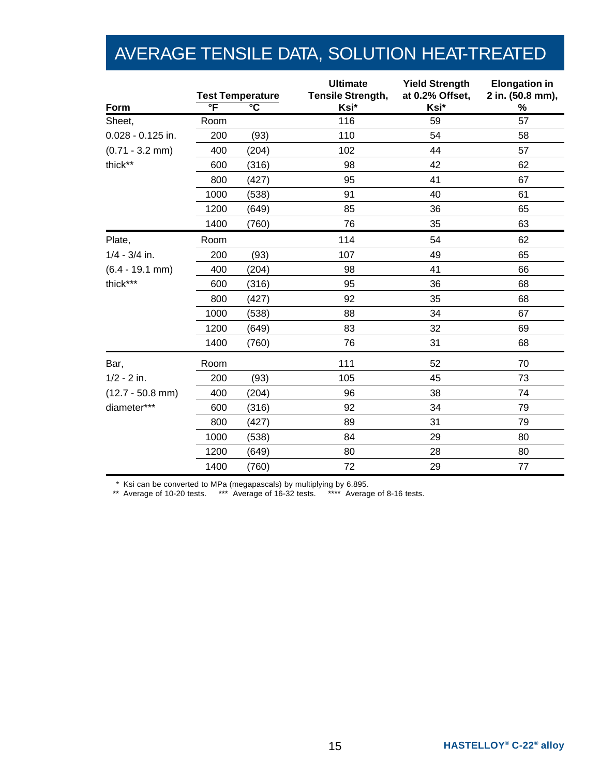# AVERAGE TENSILE DATA, SOLUTION HEAT-TREATED

|                     |                         |                                                  | <b>Ultimate</b><br><b>Tensile Strength,</b> | <b>Yield Strength</b><br>at 0.2% Offset, | <b>Elongation in</b><br>2 in. (50.8 mm), |
|---------------------|-------------------------|--------------------------------------------------|---------------------------------------------|------------------------------------------|------------------------------------------|
| Form                | $\overline{\mathsf{F}}$ | <b>Test Temperature</b><br>$\overline{\text{c}}$ | Ksi*                                        | Ksi*                                     | $\%$                                     |
| Sheet,              | Room                    |                                                  | 116                                         | 59                                       | 57                                       |
| $0.028 - 0.125$ in. | 200                     | (93)                                             | 110                                         | 54                                       | 58                                       |
| $(0.71 - 3.2$ mm)   | 400                     | (204)                                            | 102                                         | 44                                       | 57                                       |
| thick**             | 600                     | (316)                                            | 98                                          | 42                                       | 62                                       |
|                     | 800                     | (427)                                            | 95                                          | 41                                       | 67                                       |
|                     | 1000                    | (538)                                            | 91                                          | 40                                       | 61                                       |
|                     | 1200                    | (649)                                            | 85                                          | 36                                       | 65                                       |
|                     | 1400                    | (760)                                            | 76                                          | 35                                       | 63                                       |
| Plate,              | Room                    |                                                  | 114                                         | 54                                       | 62                                       |
| $1/4 - 3/4$ in.     | 200                     | (93)                                             | 107                                         | 49                                       | 65                                       |
| $(6.4 - 19.1$ mm)   | 400                     | (204)                                            | 98                                          | 41                                       | 66                                       |
| thick***            | 600                     | (316)                                            | 95                                          | 36                                       | 68                                       |
|                     | 800                     | (427)                                            | 92                                          | 35                                       | 68                                       |
|                     | 1000                    | (538)                                            | 88                                          | 34                                       | 67                                       |
|                     | 1200                    | (649)                                            | 83                                          | 32                                       | 69                                       |
|                     | 1400                    | (760)                                            | 76                                          | 31                                       | 68                                       |
| Bar,                | Room                    |                                                  | 111                                         | 52                                       | 70                                       |
| $1/2 - 2$ in.       | 200                     | (93)                                             | 105                                         | 45                                       | 73                                       |
| $(12.7 - 50.8$ mm)  | 400                     | (204)                                            | 96                                          | 38                                       | 74                                       |
| diameter***         | 600                     | (316)                                            | 92                                          | 34                                       | 79                                       |
|                     | 800                     | (427)                                            | 89                                          | 31                                       | 79                                       |
|                     | 1000                    | (538)                                            | 84                                          | 29                                       | 80                                       |
|                     | 1200                    | (649)                                            | 80                                          | 28                                       | 80                                       |
|                     | 1400                    | (760)                                            | 72                                          | 29                                       | 77                                       |

\* Ksi can be converted to MPa (megapascals) by multiplying by 6.895.

\*\* Average of 10-20 tests. \*\*\* Average of 16-32 tests. \*\*\*\* Average of 8-16 tests.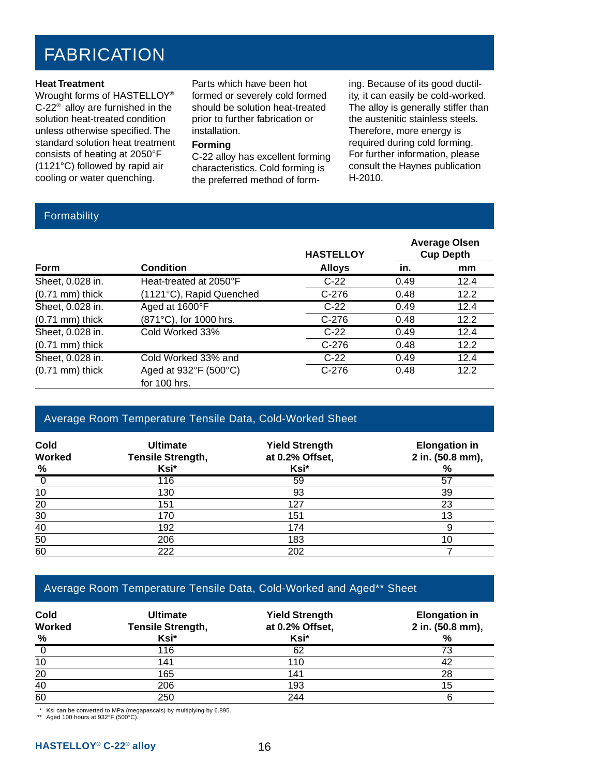# FABRICATION

#### **Heat Treatment**

Wrought forms of HASTELLOY® C-22® alloy are furnished in the solution heat-treated condition unless otherwise specified. The standard solution heat treatment consists of heating at 2050°F (1121°C) followed by rapid air cooling or water quenching.

Parts which have been hot formed or severely cold formed should be solution heat-treated prior to further fabrication or installation.

#### **Forming**

C-22 alloy has excellent forming characteristics. Cold forming is the preferred method of forming. Because of its good ductility, it can easily be cold-worked. The alloy is generally stiffer than the austenitic stainless steels. Therefore, more energy is required during cold forming. For further information, please consult the Haynes publication H-2010.

#### Formability

|                   |                          | <b>HASTELLOY</b> |      | <b>Average Olsen</b><br><b>Cup Depth</b> |
|-------------------|--------------------------|------------------|------|------------------------------------------|
| Form              | <b>Condition</b>         | <b>Alloys</b>    | in.  | mm                                       |
| Sheet, 0.028 in.  | Heat-treated at 2050°F   | $C-22$           | 0.49 | 12.4                                     |
| $(0.71$ mm) thick | (1121°C), Rapid Quenched | $C-276$          | 0.48 | 12.2                                     |
| Sheet, 0.028 in.  | Aged at 1600°F           | $C-22$           | 0.49 | 12.4                                     |
| $(0.71$ mm) thick | (871°C), for 1000 hrs.   | $C-276$          | 0.48 | 12.2                                     |
| Sheet, 0.028 in.  | Cold Worked 33%          | $C-22$           | 0.49 | 12.4                                     |
| $(0.71$ mm) thick |                          | $C-276$          | 0.48 | 12.2                                     |
| Sheet, 0.028 in.  | Cold Worked 33% and      | $C-22$           | 0.49 | 12.4                                     |
| $(0.71$ mm) thick | Aged at 932°F (500°C)    | $C-276$          | 0.48 | 12.2                                     |
|                   | for 100 hrs.             |                  |      |                                          |

#### Average Room Temperature Tensile Data, Cold-Worked Sheet

| <b>Cold</b><br>Worked<br>% | <b>Ultimate</b><br><b>Tensile Strength,</b><br>Ksi* | <b>Yield Strength</b><br>at 0.2% Offset,<br>Ksi* | <b>Elongation in</b><br>2 in. (50.8 mm),<br>% |
|----------------------------|-----------------------------------------------------|--------------------------------------------------|-----------------------------------------------|
|                            | 116                                                 | 59                                               | 57                                            |
| 10                         | 130                                                 | 93                                               | 39                                            |
| 20                         | 151                                                 | 127                                              | 23                                            |
| 30                         | 170                                                 | 151                                              | 13                                            |
| 40                         | 192                                                 | 174                                              |                                               |
| 50                         | 206                                                 | 183                                              | 10                                            |
| 60                         | 222                                                 | 202                                              |                                               |

#### Average Room Temperature Tensile Data, Cold-Worked and Aged\*\* Sheet

| <b>Cold</b><br>Worked<br>$\frac{9}{6}$ | <b>Ultimate</b><br><b>Tensile Strength,</b><br>Ksi* | <b>Yield Strength</b><br>at 0.2% Offset,<br>Ksi* | <b>Elongation in</b><br>2 in. (50.8 mm),<br>% |
|----------------------------------------|-----------------------------------------------------|--------------------------------------------------|-----------------------------------------------|
|                                        | 116                                                 | 62                                               | 73                                            |
| 10                                     | 141                                                 | 110                                              |                                               |
| 20                                     | 165                                                 | 141                                              | 28                                            |
| 40                                     | 206                                                 | 193                                              | 15                                            |
| 60                                     | 250                                                 | 244                                              |                                               |

\* Ksi can be converted to MPa (megapascals) by multiplying by 6.895.

\*\* Aged 100 hours at 932°F (500°C).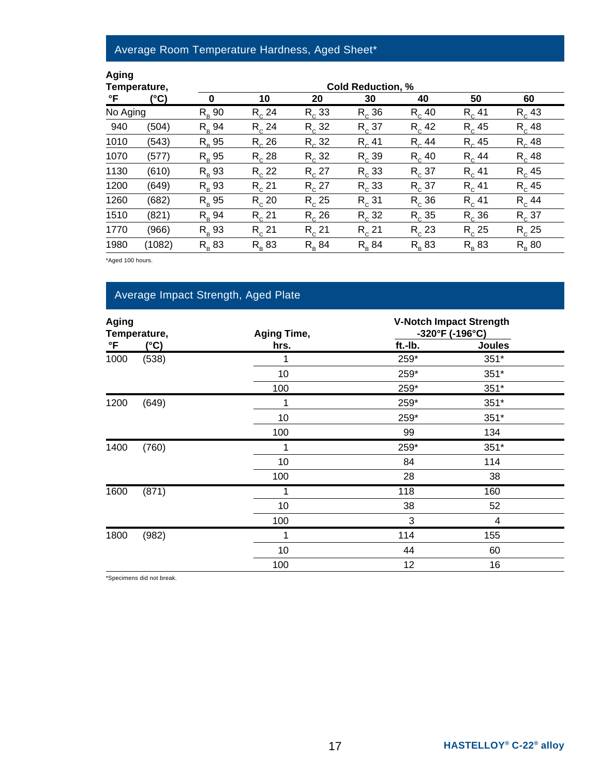## Average Room Temperature Hardness, Aged Sheet\*

| I<br>ı |  |
|--------|--|
|        |  |

|          | Temperature, |                |            |                | <b>Cold Reduction, %</b> |                |                |                |
|----------|--------------|----------------|------------|----------------|--------------------------|----------------|----------------|----------------|
| °F       | (°C)         |                | 10         | 20             | 30                       | 40             | 50             | 60             |
| No Aging |              | $R_{\rm B}$ 90 | $R_c$ 24   | $R_c$ 33       | $R_{c}$ 36               | $R_c$ 40       | $R_c$ 41       | $R_c$ 43       |
| 940      | (504)        | $R_{\rm B}$ 94 | $R_c$ 24   | $R_c$ 32       | $R_{c}$ 37               | $R_c$ 42       | $R_c$ 45       | $R_c$ 48       |
| 1010     | (543)        | $R_{\rm B}$ 95 | $R_{c}$ 26 | $R_c$ 32       | $R_c$ 41                 | $R_{c}$ 44     | $R_c$ 45       | $R_c$ 48       |
| 1070     | (577)        | $R_{\rm B}$ 95 | $R_{c}$ 28 | $R_c$ 32       | $R_{c}$ 39               | $R_c$ 40       | $R_c$ 44       | $R_c$ 48       |
| 1130     | (610)        | $R_{\rm B}$ 93 | $R_c 22$   | $R_c 27$       | $R_c$ 33                 | $R_{c}$ 37     | $R_c$ 41       | $R_c$ 45       |
| 1200     | (649)        | $R_{\rm B}$ 93 | $R_{c}$ 21 | $R_c 27$       | $R_{c}$ 33               | $R_{c}$ 37     | $R_{c}$ 41     | $R_c$ 45       |
| 1260     | (682)        | $R_{\rm R}$ 95 | $R_c$ 20   | $R_c$ 25       | $R_{c}$ 31               | $R_c$ 36       | $R_c$ 41       | $R_c$ 44       |
| 1510     | (821)        | $R_{\rm B}$ 94 | $R_{c}$ 21 | $R_c$ 26       | $R_{c}$ 32               | $R_c$ 35       | $R_{c}$ 36     | $R_{c}$ 37     |
| 1770     | (966)        | $R_{\rm B}$ 93 | $R_{c}$ 21 | $R_c$ 21       | $R_{c}$ 21               | $R_c$ 23       | $R_c$ 25       | $R_c$ 25       |
| 1980     | (1082)       | $R_{\rm B}$ 83 | $R_{p}$ 83 | $R_{\rm R}$ 84 | $R_{\rm B}$ 84           | $R_{\rm B}$ 83 | $R_{\rm B}$ 83 | $R_{\rm B}$ 80 |

\*Aged 100 hours.

## Average Impact Strength, Aged Plate

| <b>Aging</b><br>Temperature,<br>°F<br>$(^{\circ}C)$ |       | <b>Aging Time,</b> |         | <b>V-Notch Impact Strength</b><br>-320°F (-196°C) |  |
|-----------------------------------------------------|-------|--------------------|---------|---------------------------------------------------|--|
|                                                     |       | hrs.               | ft.-Ib. | <b>Joules</b>                                     |  |
| 1000                                                | (538) | 1                  | 259*    | $351*$                                            |  |
|                                                     |       | 10                 | 259*    | $351*$                                            |  |
|                                                     |       | 100                | 259*    | $351*$                                            |  |
| (649)<br>1200                                       |       | 1                  | 259*    | $351*$                                            |  |
|                                                     |       | 10                 | 259*    | $351*$                                            |  |
|                                                     |       | 100                | 99      | 134                                               |  |
| 1400                                                | (760) | 1                  | 259*    | $351*$                                            |  |
|                                                     |       | 10                 | 84      | 114                                               |  |
|                                                     |       | 100                | 28      | 38                                                |  |
| 1600                                                | (871) | 1                  | 118     | 160                                               |  |
|                                                     |       | 10                 | 38      | 52                                                |  |
|                                                     |       | 100                | 3       | 4                                                 |  |
| 1800                                                | (982) | 1                  | 114     | 155                                               |  |
|                                                     |       | 10                 | 44      | 60                                                |  |
|                                                     |       | 100                | 12      | 16                                                |  |

\*Specimens did not break.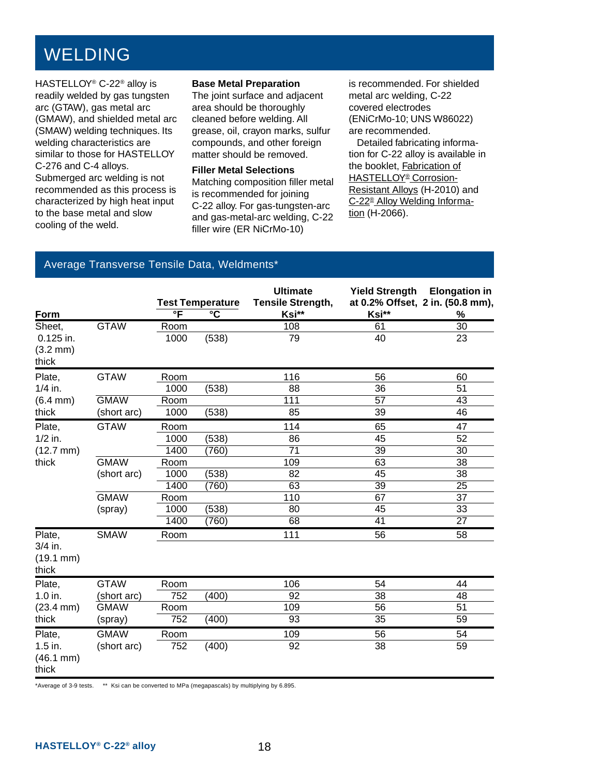# WELDING

HASTELLOY® C-22® alloy is readily welded by gas tungsten arc (GTAW), gas metal arc (GMAW), and shielded metal arc (SMAW) welding techniques. Its welding characteristics are similar to those for HASTELLOY C-276 and C-4 alloys. Submerged arc welding is not recommended as this process is characterized by high heat input to the base metal and slow cooling of the weld.

#### **Base Metal Preparation**

The joint surface and adjacent area should be thoroughly cleaned before welding. All grease, oil, crayon marks, sulfur compounds, and other foreign matter should be removed.

#### **Filler Metal Selections**

Matching composition filler metal is recommended for joining C-22 alloy. For gas-tungsten-arc and gas-metal-arc welding, C-22 filler wire (ER NiCrMo-10)

is recommended. For shielded metal arc welding, C-22 covered electrodes (ENiCrMo-10; UNS W86022) are recommended.

 Detailed fabricating information for C-22 alloy is available in the booklet, Fabrication of HASTELLOY® Corrosion-Resistant Alloys (H-2010) and C-22® Alloy Welding Information (H-2066).

#### Average Transverse Tensile Data, Weldments\*

|                                             |             |                         | <b>Test Temperature</b> | <b>Ultimate</b><br>Tensile Strength, |                 | Yield Strength Elongation in<br>at 0.2% Offset, 2 in. (50.8 mm), |
|---------------------------------------------|-------------|-------------------------|-------------------------|--------------------------------------|-----------------|------------------------------------------------------------------|
| Form                                        |             | $\overline{\mathsf{F}}$ | $\overline{\text{c}}$   | Ksi**                                | Ksi**           | %                                                                |
| Sheet,                                      | <b>GTAW</b> | Room                    |                         | 108                                  | 61              | $\overline{30}$                                                  |
| 0.125 in.                                   |             | 1000                    | (538)                   | 79                                   | 40              | 23                                                               |
| $(3.2 \, \text{mm})$                        |             |                         |                         |                                      |                 |                                                                  |
| thick                                       |             |                         |                         |                                      |                 |                                                                  |
| Plate,                                      | <b>GTAW</b> | Room                    |                         | 116                                  | 56              | 60                                                               |
| $1/4$ in.                                   |             | 1000                    | (538)                   | 88                                   | 36              | 51                                                               |
| $(6.4 \, \text{mm})$                        | <b>GMAW</b> | Room                    |                         | 111                                  | $\overline{57}$ | 43                                                               |
| thick                                       | (short arc) | 1000                    | (538)                   | 85                                   | 39              | 46                                                               |
| Plate,                                      | <b>GTAW</b> | Room                    |                         | 114                                  | 65              | 47                                                               |
| $1/2$ in.                                   |             | 1000                    | (538)                   | 86                                   | 45              | 52                                                               |
| $(12.7 \, \text{mm})$                       |             | 1400                    | (760)                   | $\overline{71}$                      | $\overline{39}$ | $\overline{30}$                                                  |
| thick                                       | <b>GMAW</b> | Room                    |                         | 109                                  | 63              | 38                                                               |
|                                             | (short arc) | 1000                    | (538)                   | 82                                   | 45              | 38                                                               |
|                                             |             | 1400                    | (760)                   | 63                                   | $\overline{39}$ | $\overline{25}$                                                  |
|                                             | <b>GMAW</b> | Room                    |                         | 110                                  | 67              | $\overline{37}$                                                  |
|                                             | (spray)     | 1000                    | (538)                   | 80                                   | 45              | 33                                                               |
|                                             |             | 1400                    | (760)                   | $\overline{68}$                      | 41              | 27                                                               |
| Plate,                                      | <b>SMAW</b> | Room                    |                         | 111                                  | 56              | 58                                                               |
| $3/4$ in.<br>$(19.1 \, \text{mm})$<br>thick |             |                         |                         |                                      |                 |                                                                  |
| Plate,                                      | <b>GTAW</b> | Room                    |                         | 106                                  | 54              | 44                                                               |
| 1.0 in.                                     | (short arc) | 752                     | (400)                   | 92                                   | 38              | 48                                                               |
| $(23.4 \text{ mm})$                         | <b>GMAW</b> | Room                    |                         | 109                                  | 56              | 51                                                               |
| thick                                       | (spray)     | 752                     | (400)                   | 93                                   | 35              | 59                                                               |
| Plate,                                      | <b>GMAW</b> | Room                    |                         | 109                                  | 56              | 54                                                               |
| $1.5$ in.<br>$(46.1 \, \text{mm})$<br>thick | (short arc) | 752                     | (400)                   | 92                                   | 38              | 59                                                               |

\*Average of 3-9 tests. \*\* Ksi can be converted to MPa (megapascals) by multiplying by 6.895.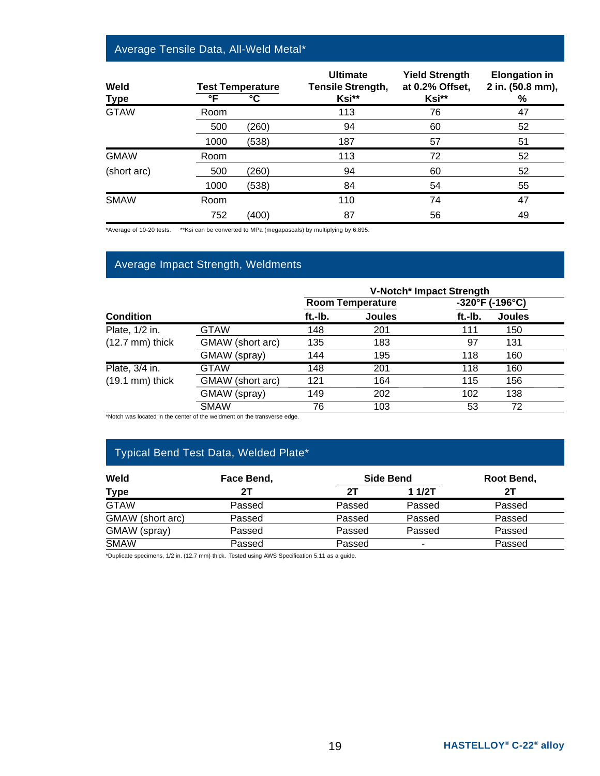#### Average Tensile Data, All-Weld Metal\*

| Weld<br><b>Type</b> | °F   | <b>Test Temperature</b><br>°C | <b>Ultimate</b><br>Tensile Strength,<br>Ksi** | <b>Yield Strength</b><br>at 0.2% Offset,<br>Ksi** | <b>Elongation in</b><br>2 in. (50.8 mm),<br>% |
|---------------------|------|-------------------------------|-----------------------------------------------|---------------------------------------------------|-----------------------------------------------|
| <b>GTAW</b>         | Room |                               | 113                                           | 76                                                | 47                                            |
|                     | 500  | (260)                         | 94                                            | 60                                                | 52                                            |
|                     | 1000 | (538)                         | 187                                           | 57                                                | 51                                            |
| <b>GMAW</b>         | Room |                               | 113                                           | 72                                                | 52                                            |
| (short arc)         | 500  | (260)                         | 94                                            | 60                                                | 52                                            |
|                     | 1000 | (538)                         | 84                                            | 54                                                | 55                                            |
| <b>SMAW</b>         | Room |                               | 110                                           | 74                                                | 47                                            |
|                     | 752  | (400)                         | 87                                            | 56                                                | 49                                            |

\*Average of 10-20 tests. \*\*Ksi can be converted to MPa (megapascals) by multiplying by 6.895.

#### Average Impact Strength, Weldments

|                           |                  | V-Notch* Impact Strength                                        |               |         |               |  |  |
|---------------------------|------------------|-----------------------------------------------------------------|---------------|---------|---------------|--|--|
|                           |                  | $-320^{\circ}$ F (-196 $^{\circ}$ C)<br><b>Room Temperature</b> |               |         |               |  |  |
| <b>Condition</b>          |                  | ft.-Ib.                                                         | <b>Joules</b> | ft.-Ib. | <b>Joules</b> |  |  |
| Plate, 1/2 in.            | <b>GTAW</b>      | 148                                                             | 201           | 111     | 150           |  |  |
| $(12.7 \text{ mm})$ thick | GMAW (short arc) | 135                                                             | 183           | 97      | 131           |  |  |
|                           | GMAW (spray)     | 144                                                             | 195           | 118     | 160           |  |  |
| Plate, 3/4 in.            | GTAW             | 148                                                             | 201           | 118     | 160           |  |  |
| $(19.1 \text{ mm})$ thick | GMAW (short arc) | 121                                                             | 164           | 115     | 156           |  |  |
|                           | GMAW (spray)     | 149                                                             | 202           | 102     | 138           |  |  |
|                           | <b>SMAW</b>      | 76                                                              | 103           | 53      | 72            |  |  |

\*Notch was located in the center of the weldment on the transverse edge.

#### Typical Bend Test Data, Welded Plate\*

| Weld<br>Face Bend, |        |        | <b>Side Bend</b> | Root Bend, |  |
|--------------------|--------|--------|------------------|------------|--|
| <b>Type</b>        |        | 2Τ     | 1 $1/2T$         | 21         |  |
| <b>GTAW</b>        | Passed | Passed | Passed           | Passed     |  |
| GMAW (short arc)   | Passed | Passed | Passed           | Passed     |  |
| GMAW (spray)       | Passed | Passed | Passed           | Passed     |  |
| <b>SMAW</b>        | Passed | Passed | ۰                | Passed     |  |

\*Duplicate specimens, 1/2 in. (12.7 mm) thick. Tested using AWS Specification 5.11 as a guide.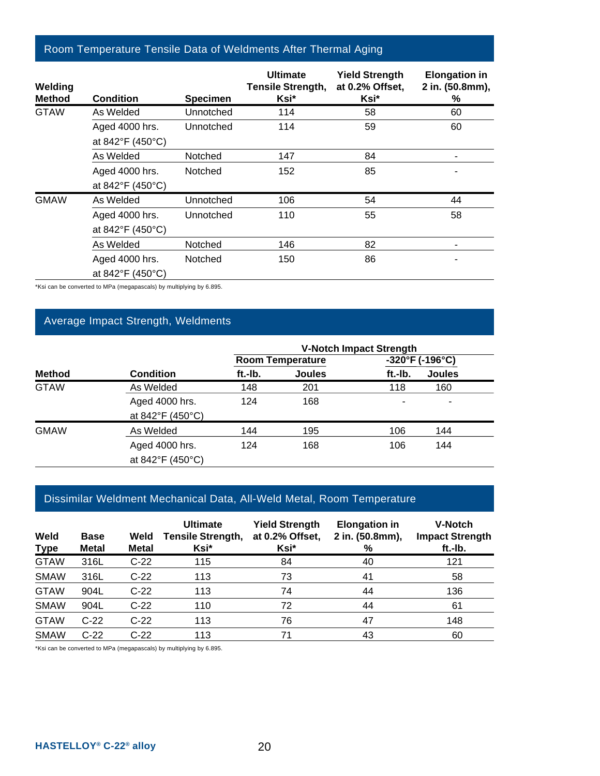#### Room Temperature Tensile Data of Weldments After Thermal Aging

| Welding<br><b>Method</b> | <b>Condition</b>                   | <b>Specimen</b> | <b>Ultimate</b><br><b>Tensile Strength,</b><br>Ksi* | <b>Yield Strength</b><br>at 0.2% Offset,<br>Ksi* | <b>Elongation in</b><br>2 in. (50.8mm),<br>% |
|--------------------------|------------------------------------|-----------------|-----------------------------------------------------|--------------------------------------------------|----------------------------------------------|
| <b>GTAW</b>              | As Welded                          | Unnotched       | 114                                                 | 58                                               | 60                                           |
|                          | Aged 4000 hrs.<br>at 842°F (450°C) | Unnotched       | 114                                                 | 59                                               | 60                                           |
|                          | As Welded                          | Notched         | 147                                                 | 84                                               |                                              |
|                          | Aged 4000 hrs.<br>at 842°F (450°C) | Notched         | 152                                                 | 85                                               |                                              |
| <b>GMAW</b>              | As Welded                          | Unnotched       | 106                                                 | 54                                               | 44                                           |
|                          | Aged 4000 hrs.<br>at 842°F (450°C) | Unnotched       | 110                                                 | 55                                               | 58                                           |
|                          | As Welded                          | Notched         | 146                                                 | 82                                               |                                              |
|                          | Aged 4000 hrs.<br>at 842°F (450°C) | Notched         | 150                                                 | 86                                               |                                              |

\*Ksi can be converted to MPa (megapascals) by multiplying by 6.895.

#### Average Impact Strength, Weldments

|               |                  | <b>V-Notch Impact Strength</b> |                         |         |                                      |  |
|---------------|------------------|--------------------------------|-------------------------|---------|--------------------------------------|--|
|               |                  |                                | <b>Room Temperature</b> |         | $-320^{\circ}$ F (-196 $^{\circ}$ C) |  |
| <b>Method</b> | <b>Condition</b> | ft.-Ib.                        | <b>Joules</b>           | ft.-Ib. | <b>Joules</b>                        |  |
| <b>GTAW</b>   | As Welded        | 148                            | 201                     | 118     | 160                                  |  |
|               | Aged 4000 hrs.   | 124                            | 168                     |         | ۰                                    |  |
|               | at 842°F (450°C) |                                |                         |         |                                      |  |
| <b>GMAW</b>   | As Welded        | 144                            | 195                     | 106     | 144                                  |  |
|               | Aged 4000 hrs.   | 124                            | 168                     | 106     | 144                                  |  |
|               | at 842°F (450°C) |                                |                         |         |                                      |  |

#### Dissimilar Weldment Mechanical Data, All-Weld Metal, Room Temperature

| Weld<br><b>Type</b> | <b>Base</b><br><b>Metal</b> | Weld<br><b>Metal</b> | <b>Ultimate</b><br><b>Tensile Strength,</b><br>Ksi* | <b>Yield Strength</b><br>at 0.2% Offset,<br>Ksi* | <b>Elongation in</b><br>2 in. (50.8mm),<br>% | <b>V-Notch</b><br><b>Impact Strength</b><br>ft.-Ib. |
|---------------------|-----------------------------|----------------------|-----------------------------------------------------|--------------------------------------------------|----------------------------------------------|-----------------------------------------------------|
| <b>GTAW</b>         | 316L                        | $C-22$               | 115                                                 | 84                                               | 40                                           | 121                                                 |
| <b>SMAW</b>         | 316L                        | $C-22$               | 113                                                 | 73                                               | 41                                           | 58                                                  |
| <b>GTAW</b>         | 904L                        | $C-22$               | 113                                                 | 74                                               | 44                                           | 136                                                 |
| <b>SMAW</b>         | 904L                        | $C-22$               | 110                                                 | 72                                               | 44                                           | 61                                                  |
| <b>GTAW</b>         | $C-22$                      | $C-22$               | 113                                                 | 76                                               | 47                                           | 148                                                 |
| <b>SMAW</b>         | $C-22$                      | $C-22$               | 113                                                 | 71                                               | 43                                           | 60                                                  |

\*Ksi can be converted to MPa (megapascals) by multiplying by 6.895.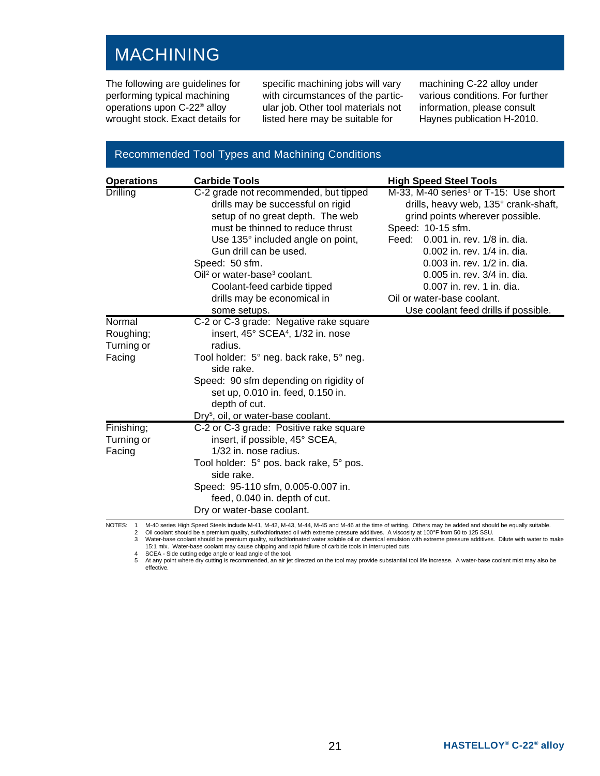# MACHINING

The following are guidelines for performing typical machining operations upon C-22® alloy wrought stock. Exact details for

specific machining jobs will vary with circumstances of the particular job. Other tool materials not listed here may be suitable for

machining C-22 alloy under various conditions. For further information, please consult Haynes publication H-2010.

#### Recommended Tool Types and Machining Conditions

| <b>Carbide Tools</b>                                                                                                                                                                                                                                                                                                       | <b>High Speed Steel Tools</b>                                                                                                                                                                                                                                                                                                                  |
|----------------------------------------------------------------------------------------------------------------------------------------------------------------------------------------------------------------------------------------------------------------------------------------------------------------------------|------------------------------------------------------------------------------------------------------------------------------------------------------------------------------------------------------------------------------------------------------------------------------------------------------------------------------------------------|
| C-2 grade not recommended, but tipped<br>drills may be successful on rigid<br>setup of no great depth. The web<br>must be thinned to reduce thrust<br>Use 135° included angle on point,<br>Gun drill can be used.<br>Speed: 50 sfm.<br>Oil <sup>2</sup> or water-base <sup>3</sup> coolant.<br>Coolant-feed carbide tipped | M-33, M-40 series <sup>1</sup> or T-15: Use short<br>drills, heavy web, 135° crank-shaft,<br>grind points wherever possible.<br>Speed: 10-15 sfm.<br>Feed: 0.001 in. rev. 1/8 in. dia.<br>0.002 in. rev. 1/4 in. dia.<br>0.003 in. rev. 1/2 in. dia.<br>0.005 in. rev. 3/4 in. dia.<br>0.007 in. rev. 1 in. dia.<br>Oil or water-base coolant. |
| some setups.                                                                                                                                                                                                                                                                                                               | Use coolant feed drills if possible.                                                                                                                                                                                                                                                                                                           |
| C-2 or C-3 grade: Negative rake square<br>insert, 45° SCEA <sup>4</sup> , 1/32 in. nose<br>radius.<br>Tool holder: 5° neg. back rake, 5° neg.<br>side rake.<br>Speed: 90 sfm depending on rigidity of<br>set up, 0.010 in. feed, 0.150 in.<br>depth of cut.                                                                |                                                                                                                                                                                                                                                                                                                                                |
| C-2 or C-3 grade: Positive rake square<br>insert, if possible, 45° SCEA,<br>1/32 in. nose radius.<br>Tool holder: 5° pos. back rake, 5° pos.<br>side rake.<br>Speed: 95-110 sfm, 0.005-0.007 in.<br>feed, 0.040 in. depth of cut.<br>Dry or water-base coolant.                                                            |                                                                                                                                                                                                                                                                                                                                                |
|                                                                                                                                                                                                                                                                                                                            | drills may be economical in<br>Dry <sup>5</sup> , oil, or water-base coolant.<br>M-40 series High Speed Steels include M-41, M-42, M-43, M-44, M-45 and M-46 at the time of writing. Others may be added and should be equally suitable.                                                                                                       |

2 Oil coolant should be a premium quality, sulfochlorinated oil with extreme pressure additives. A viscosity at 100°F from 50 to 125 SSU.<br>3 Water-base coolant should be premium quality, sulfochlorinated water soluble oil o

15:1 mix. Water-base coolant may cause chipping and rapid failure of carbide tools in interrupted cuts. 4 SCEA - Side cutting edge angle or lead angle of the tool.

5 At any point where dry cutting is recommended, an air jet directed on the tool may provide substantial tool life increase. A water-base coolant mist may also be effective.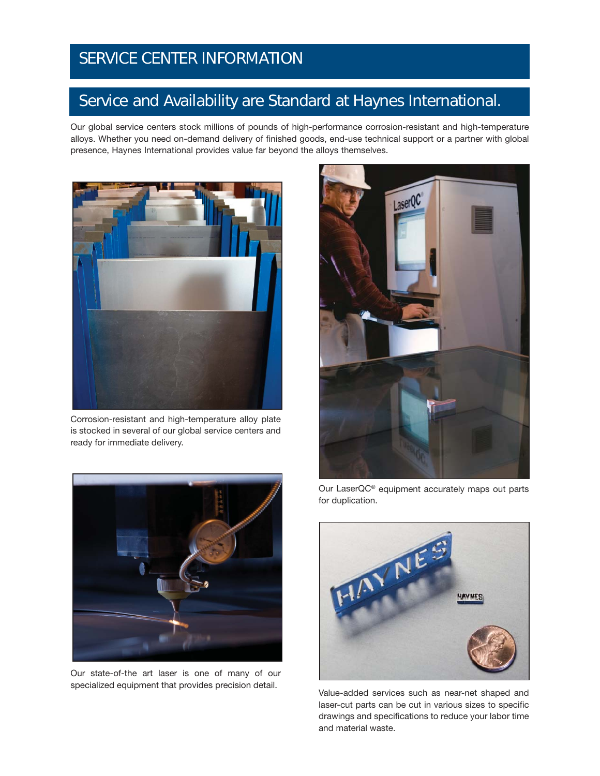## SERVICE CENTER INFORMATION

# Service and Availability are Standard at Haynes International. SERVICE CENTER INFORMATION Service and Availability are Standard at Haynes International.

Our global service centers stock millions of pounds of high-performance corrosion-resistant and high-temperature alloys. Whether you need on-demand delivery of finished goods, end-use technical support or a partner with global presence, Haynes International provides value far beyond the alloys themselves.



Corrosion-resistant and high-temperature alloy plate is stocked in several of our global service centers and ready for immediate delivery.



Our state-of-the art laser is one of many of our specialized equipment that provides precision detail.



Our LaserQC® equipment accurately maps out parts for duplication.



Value-added services such as near-net shaped and laser-cut parts can be cut in various sizes to specific drawings and specifications to reduce your labor time and material waste.